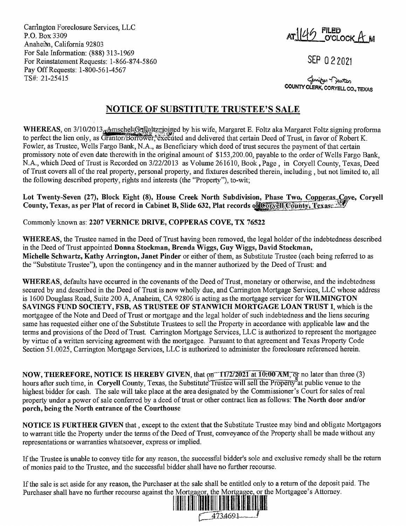Carrlngton Foreclosure Services, LLC P.O. Box 3309 Anaheim, California 92803 For Sale Information: (888) 313-1969 For Reinstatement Requests: 1-866-874-5860 Pay Off Requests: 1-800-561-4567 TS#: 21-25415

AT 146 FILED<br>O'CLOCK AM

SEP O 2 2021

**COUNTY CLERK,**  ~~ **CORYELL CO., TEXAS** 

## **NOTICE OF SUBSTITUTE TRUSTEE'S SALE**

WHEREAS, on 3/10/2013<sub>5</sub> AmschelsGragoltz rigged by his wife, Margaret E. Foltz aka Margaret Foltz signing proforma to perfect the lien only, as Grantor/Borrower, executed and delivered that certain Deed of Trust, in favor of Robert K. Fowler, as Trustee, Wells Fargo Bank, N.A., as Beneficiary which deed of trust secures the payment of that certain promissory note of even date therewith in the original amount of \$153,200.00, payable to the order of Wells Fargo Bank, N.A., which Deed of Trust is Recorded on 3/22/2013 as Volume 261610, Book, Page, in Coryell County, Texas, Deed of Trust covers all of the real property, personal property, and fixtures described therein, including, but not limited to, all the following described property, rights and interests (the "Property"), to-wit;

Lot Twenty-Seven (27), Block Eight (8), House Creek North Subdivision, Phase Two, Copperas\_Cove, Coryell **County, Texas, as per Plat of record in Cabinet B, Slide 632, Plat records of Convell County, Texas** 

Commonly known as: **2207 VERNICE DRIVE, COPPERAS COVE, TX 76522** 

**WHEREAS,** the Trustee named in the Deed of Trust having been removed, the legal holder of the indebtedness described in the Deed of Trust appointed **Donna Stockman, Brenda Wiggs, Guy Wiggs, David Stockman, Michelle Schwartz, Kathy Arrington, Janet Pinder** or either of them, as Substitute Trustee (each being referred to as the "Substitute Trustee"), upon the contingency and in the manner authorized by the Deed of Trust: and

**WHEREAS,** defaults have occurred in the covenants of the Deed of Trust, monetary or otherwise, and the indebtedness secured by and described in the Deed of Trust is now wholly due, and Carrington Mortgage Services, LLC whose address is 1600 Douglass Road, Suite 200 A, Anaheim, CA 92806 is acting as the mortgage servicer for **WILMINGTON SAVINGS FUND SOCIETY, FSB, AS TRUSTEE OF STANWICH MORTGAGE LOAN TRUST** I, which is the mortgagee of the Note and Deed of Trust or mortgage and the legal holder of such indebtedness and the liens securing same has requested either one of the Substitute Trustees to sell the Property in accordance with applicable law and the terms and provisions of the Deed of Trust. Carrington Mortgage Services, LLC is authorized to represent the mortgagee by virtue of a written servicing agreement with the mortgagee. Pursuant to that agreement and Texas Property Code Section 51.0025, Carrington Mortgage Services, LLC is authorized to administer the foreclosure referenced herein.

**NOW, THEREFORE, NOTICE IS HEREBY GIVEN, that on 11/2/2021 at 10:00 AM, or no later than three (3)** hours after such time, in **Coryell County**, Texas, the Substitute Trustee will sell the Property<sup>1</sup>at public venue to the highest bidder for cash. The sale will take place at the area designated by the Commissioner's Court for sales ofreal property under a power of sale conferred by a deed of trust or other contract lien as follows: **The North door and/or porch, being the North entrance of the Courthouse** 

**NOTICE IS FURTHER GIVEN** that , except to the extent that the Substitute Trustee may bind and obligate Mortgagors to warrant title the Property under the terms of the Deed of Trust, conveyance of the Property shall be made without any representations or warranties whatsoever, express or implied.

If the Trustee is unable to convey title for any reason, the successful bidder's sole and exclusive remedy shall be the return of monies paid to the Trustee, and the successful bidder shall have no further recourse.

If the sale is set aside for any reason, the Purchaser at the sale shall be entitled only to a return of the deposit paid. The Purchaser shall have no further recourse against the Mortgagor, the Mortgagee, or the Mortgagee's Attorney.